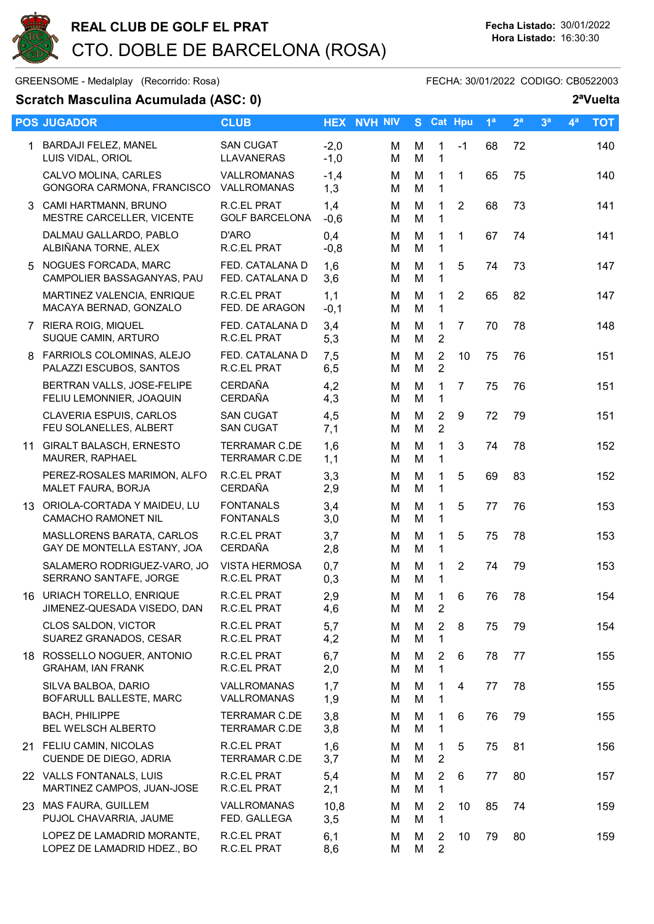

GREENSOME - Medalplay (Recorrido: Rosa) GREENSOME - FECHA: 30/01/2022 CODIGO: CB0522003

## Scratch Masculina Acumulada (ASC: 0) 2<sup>a</sup>Vuelta

|   | <b>POS JUGADOR</b>                                           | <b>CLUB</b>                                  |                  | <b>HEX NVH NIV</b> | S.     | <b>Cat Hpu</b>                   |                | 1 <sup>a</sup> | 2 <sup>a</sup> | 3 <sup>a</sup> | 4 <sup>a</sup> | <b>TOT</b> |
|---|--------------------------------------------------------------|----------------------------------------------|------------------|--------------------|--------|----------------------------------|----------------|----------------|----------------|----------------|----------------|------------|
|   | 1 BARDAJI FELEZ, MANEL<br>LUIS VIDAL, ORIOL                  | <b>SAN CUGAT</b><br>LLAVANERAS               | $-2,0$<br>$-1,0$ | м<br>м             | M<br>M | 1<br>$\mathbf{1}$                | $-1$           | 68             | 72             |                |                | 140        |
|   | CALVO MOLINA, CARLES<br>GONGORA CARMONA, FRANCISCO           | VALLROMANAS<br>VALLROMANAS                   | $-1,4$<br>1,3    | M<br>м             | M<br>M | $\mathbf{1}$<br>$\mathbf{1}$     | 1              | 65             | 75             |                |                | 140        |
|   | 3 CAMI HARTMANN, BRUNO<br>MESTRE CARCELLER, VICENTE          | <b>R.C.EL PRAT</b><br><b>GOLF BARCELONA</b>  | 1,4<br>$-0,6$    | м<br>м             | M<br>M | 1<br>$\mathbf{1}$                | $\overline{2}$ | 68             | 73             |                |                | 141        |
|   | DALMAU GALLARDO, PABLO<br>ALBIÑANA TORNE, ALEX               | D'ARO<br>R.C.EL PRAT                         | 0,4<br>$-0,8$    | м<br>м             | M<br>M | 1<br>$\mathbf{1}$                | $\mathbf{1}$   | 67             | 74             |                |                | 141        |
|   | 5 NOGUES FORCADA, MARC<br>CAMPOLIER BASSAGANYAS, PAU         | FED. CATALANA D<br>FED. CATALANA D           | 1,6<br>3,6       | м<br>M             | M<br>M | 1<br>$\mathbf{1}$                | 5              | 74             | 73             |                |                | 147        |
|   | MARTINEZ VALENCIA, ENRIQUE<br>MACAYA BERNAD, GONZALO         | <b>R.C.EL PRAT</b><br>FED. DE ARAGON         | 1,1<br>$-0,1$    | м<br>м             | M<br>M | $\mathbf{1}$<br>$\mathbf{1}$     | $\overline{2}$ | 65             | 82             |                |                | 147        |
|   | 7 RIERA ROIG, MIQUEL<br>SUQUE CAMIN, ARTURO                  | FED. CATALANA D<br>R.C.EL PRAT               | 3,4<br>5,3       | м<br>м             | M<br>M | 1<br>$\overline{2}$              | $\overline{7}$ | 70             | 78             |                |                | 148        |
| 8 | FARRIOLS COLOMINAS, ALEJO<br>PALAZZI ESCUBOS, SANTOS         | FED. CATALANA D<br>R.C.EL PRAT               | 7,5<br>6,5       | м<br>м             | M<br>M | $\overline{2}$<br>$\overline{2}$ | 10             | 75             | 76             |                |                | 151        |
|   | BERTRAN VALLS, JOSE-FELIPE<br>FELIU LEMONNIER, JOAQUIN       | <b>CERDAÑA</b><br><b>CERDAÑA</b>             | 4,2<br>4,3       | M<br>м             | M<br>M | 1<br>$\mathbf{1}$                | $\overline{7}$ | 75             | 76             |                |                | 151        |
|   | CLAVERIA ESPUIS, CARLOS<br>FEU SOLANELLES, ALBERT            | <b>SAN CUGAT</b><br><b>SAN CUGAT</b>         | 4,5<br>7,1       | M<br>м             | M<br>M | $\overline{2}$<br>$\overline{2}$ | 9              | 72             | 79             |                |                | 151        |
|   | 11 GIRALT BALASCH, ERNESTO<br>MAURER, RAPHAEL                | <b>TERRAMAR C.DE</b><br><b>TERRAMAR C.DE</b> | 1,6<br>1,1       | м<br>M             | M<br>M | 1<br>$\mathbf{1}$                | 3              | 74             | 78             |                |                | 152        |
|   | PEREZ-ROSALES MARIMON, ALFO<br>MALET FAURA, BORJA            | R.C.EL PRAT<br><b>CERDAÑA</b>                | 3,3<br>2,9       | м<br>м             | M<br>M | 1<br>1                           | 5              | 69             | 83             |                |                | 152        |
|   | 13 ORIOLA-CORTADA Y MAIDEU, LU<br><b>CAMACHO RAMONET NIL</b> | <b>FONTANALS</b><br><b>FONTANALS</b>         | 3,4<br>3,0       | м<br>м             | M<br>M | $\mathbf{1}$<br>1                | 5              | 77             | 76             |                |                | 153        |
|   | MASLLORENS BARATA, CARLOS<br>GAY DE MONTELLA ESTANY, JOA     | <b>R.C.EL PRAT</b><br><b>CERDAÑA</b>         | 3,7<br>2,8       | м<br>M             | M<br>M | $\mathbf 1$<br>1                 | 5              | 75             | 78             |                |                | 153        |
|   | SALAMERO RODRIGUEZ-VARO, JO<br>SERRANO SANTAFE, JORGE        | <b>VISTA HERMOSA</b><br>R.C.EL PRAT          | 0,7<br>0,3       | м<br>м             | M<br>M | 1<br>$\mathbf{1}$                | $\overline{2}$ | 74             | 79             |                |                | 153        |
|   | 16 URIACH TORELLO, ENRIQUE<br>JIMENEZ-QUESADA VISEDO, DAN    | R.C.EL PRAT<br>R.C.EL PRAT                   | 2,9<br>4,6       | М<br>м             | M<br>M | $\mathbf{1}$<br>$\overline{2}$   | 6              | 76             | 78             |                |                | 154        |
|   | CLOS SALDON, VICTOR<br>SUAREZ GRANADOS, CESAR                | R.C.EL PRAT<br>R.C.EL PRAT                   | 5,7<br>4,2       | M<br>М             | M<br>M | $\overline{2}$<br>$\mathbf{1}$   | 8              | 75             | 79             |                |                | 154        |
|   | 18 ROSSELLO NOGUER, ANTONIO<br><b>GRAHAM, IAN FRANK</b>      | R.C.EL PRAT<br>R.C.EL PRAT                   | 6,7<br>2,0       | м<br>М             | M<br>M | $\overline{2}$<br>1              | 6              | 78             | 77             |                |                | 155        |
|   | SILVA BALBOA, DARIO<br>BOFARULL BALLESTE, MARC               | VALLROMANAS<br>VALLROMANAS                   | 1,7<br>1,9       | м<br>M             | M<br>M | 1.<br>1                          | 4              | 77             | 78             |                |                | 155        |
|   | <b>BACH, PHILIPPE</b><br>BEL WELSCH ALBERTO                  | <b>TERRAMAR C.DE</b><br><b>TERRAMAR C.DE</b> | 3,8<br>3,8       | м<br>м             | M<br>M | 1<br>1                           | 6              | 76             | 79             |                |                | 155        |
|   | 21 FELIU CAMIN, NICOLAS<br>CUENDE DE DIEGO, ADRIA            | R.C.EL PRAT<br><b>TERRAMAR C.DE</b>          | 1,6<br>3,7       | м<br>м             | M<br>M | $\mathbf 1$<br>$\overline{2}$    | 5              | 75             | 81             |                |                | 156        |
|   | 22 VALLS FONTANALS, LUIS<br>MARTINEZ CAMPOS, JUAN-JOSE       | R.C.EL PRAT<br>R.C.EL PRAT                   | 5,4<br>2,1       | м<br>м             | M<br>M | $\overline{2}$<br>$\mathbf{1}$   | 6              | 77             | 80             |                |                | 157        |
|   | 23 MAS FAURA, GUILLEM<br>PUJOL CHAVARRIA, JAUME              | VALLROMANAS<br>FED. GALLEGA                  | 10,8<br>3,5      | м<br>м             | M<br>M | 2<br>$\mathbf 1$                 | 10             | 85             | 74             |                |                | 159        |
|   | LOPEZ DE LAMADRID MORANTE,<br>LOPEZ DE LAMADRID HDEZ., BO    | R.C.EL PRAT<br>R.C.EL PRAT                   | 6,1<br>8,6       | M<br>Μ             | M<br>M | 2<br>$\overline{2}$              | 10             | 79             | 80             |                |                | 159        |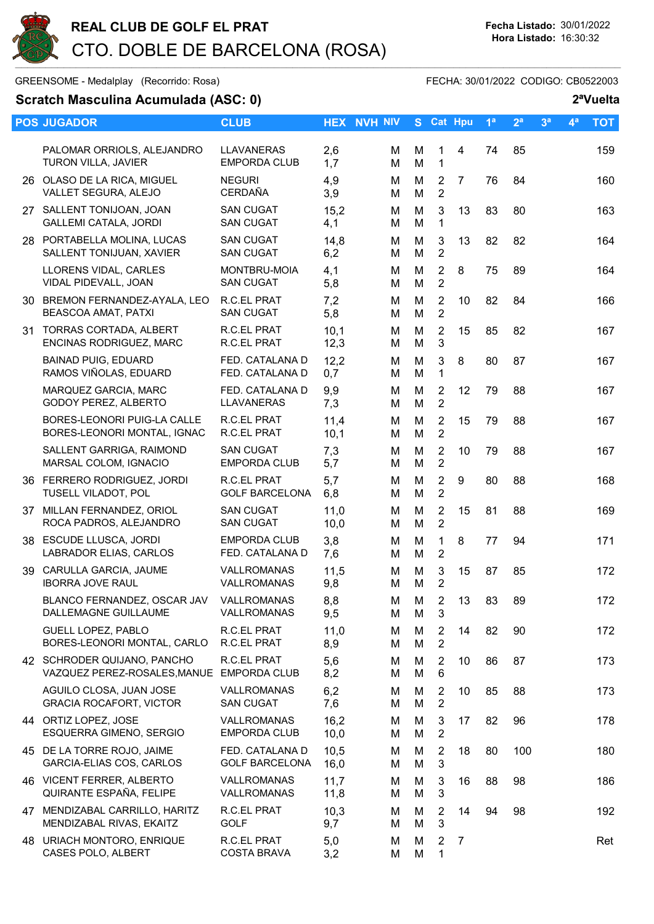

GREENSOME - Medalplay (Recorrido: Rosa) GREENSOME - FECHA: 30/01/2022 CODIGO: CB0522003

## Scratch Masculina Acumulada (ASC: 0) 2<sup>a</sup>Vuelta

|    | <b>POS JUGADOR</b>                                                       | <b>CLUB</b>                              |              | <b>HEX NVH NIV</b> |        | S Cat Hpu                        |    | 1 <sup>a</sup> | 2 <sup>a</sup> | 3 <sup>a</sup> | $4^a$ | <b>TOT</b> |
|----|--------------------------------------------------------------------------|------------------------------------------|--------------|--------------------|--------|----------------------------------|----|----------------|----------------|----------------|-------|------------|
|    | PALOMAR ORRIOLS, ALEJANDRO<br><b>TURON VILLA, JAVIER</b>                 | <b>LLAVANERAS</b><br><b>EMPORDA CLUB</b> | 2,6<br>1,7   | м<br>M             | M<br>M | 1<br>$\mathbf 1$                 | 4  | 74             | 85             |                |       | 159        |
|    | 26 OLASO DE LA RICA, MIGUEL<br>VALLET SEGURA, ALEJO                      | <b>NEGURI</b><br><b>CERDAÑA</b>          | 4,9<br>3,9   | м<br>Μ             | M<br>M | 2<br>$\overline{2}$              | 7  | 76             | 84             |                |       | 160        |
|    | 27 SALLENT TONIJOAN, JOAN<br><b>GALLEMI CATALA, JORDI</b>                | <b>SAN CUGAT</b><br><b>SAN CUGAT</b>     | 15,2<br>4,1  | м<br>M             | M<br>M | 3<br>1                           | 13 | 83             | 80             |                |       | 163        |
|    | 28 PORTABELLA MOLINA, LUCAS<br>SALLENT TONIJUAN, XAVIER                  | <b>SAN CUGAT</b><br><b>SAN CUGAT</b>     | 14,8<br>6,2  | М<br>м             | M<br>M | 3<br>2                           | 13 | 82             | 82             |                |       | 164        |
|    | LLORENS VIDAL, CARLES<br>VIDAL PIDEVALL, JOAN                            | <b>MONTBRU-MOIA</b><br><b>SAN CUGAT</b>  | 4,1<br>5,8   | Μ<br>м             | M<br>M | $\overline{2}$<br>$\overline{2}$ | 8  | 75             | 89             |                |       | 164        |
|    | 30 BREMON FERNANDEZ-AYALA, LEO<br><b>BEASCOA AMAT, PATXI</b>             | <b>R.C.EL PRAT</b><br><b>SAN CUGAT</b>   | 7,2<br>5,8   | М<br>Μ             | M<br>M | $\overline{2}$<br>$\overline{2}$ | 10 | 82             | 84             |                |       | 166        |
| 31 | <b>TORRAS CORTADA, ALBERT</b><br>ENCINAS RODRIGUEZ, MARC                 | R.C.EL PRAT<br>R.C.EL PRAT               | 10,1<br>12,3 | м<br>М             | M<br>M | $\overline{2}$<br>$\mathbf{3}$   | 15 | 85             | 82             |                |       | 167        |
|    | <b>BAINAD PUIG, EDUARD</b><br>RAMOS VIÑOLAS, EDUARD                      | FED. CATALANA D<br>FED. CATALANA D       | 12,2<br>0,7  | м<br>м             | M<br>M | 3<br>1                           | 8  | 80             | 87             |                |       | 167        |
|    | MARQUEZ GARCIA, MARC<br><b>GODOY PEREZ, ALBERTO</b>                      | FED. CATALANA D<br>LLAVANERAS            | 9,9<br>7,3   | м<br>М             | M<br>M | $\overline{2}$<br>$\overline{2}$ | 12 | 79             | 88             |                |       | 167        |
|    | BORES-LEONORI PUIG-LA CALLE<br>BORES-LEONORI MONTAL, IGNAC               | <b>R.C.EL PRAT</b><br>R.C.EL PRAT        | 11,4<br>10,1 | м<br>M             | M<br>M | $\overline{2}$<br>$\overline{2}$ | 15 | 79             | 88             |                |       | 167        |
|    | SALLENT GARRIGA, RAIMOND<br>MARSAL COLOM, IGNACIO                        | <b>SAN CUGAT</b><br><b>EMPORDA CLUB</b>  | 7,3<br>5,7   | М<br>м             | M<br>M | $\overline{2}$<br>$\overline{2}$ | 10 | 79             | 88             |                |       | 167        |
|    | 36 FERRERO RODRIGUEZ, JORDI<br>TUSELL VILADOT, POL                       | R.C.EL PRAT<br><b>GOLF BARCELONA</b>     | 5,7<br>6,8   | M<br>м             | M<br>M | $\overline{2}$<br>$\overline{2}$ | 9  | 80             | 88             |                |       | 168        |
|    | 37 MILLAN FERNANDEZ, ORIOL<br>ROCA PADROS, ALEJANDRO                     | <b>SAN CUGAT</b><br><b>SAN CUGAT</b>     | 11,0<br>10,0 | М<br>м             | M<br>M | $\overline{2}$<br>$\overline{2}$ | 15 | 81             | 88             |                |       | 169        |
|    | 38 ESCUDE LLUSCA, JORDI<br>LABRADOR ELIAS, CARLOS                        | <b>EMPORDA CLUB</b><br>FED. CATALANA D   | 3,8<br>7,6   | м<br>м             | M<br>M | 1<br>$\overline{2}$              | 8  | 77             | 94             |                |       | 171        |
|    | 39 CARULLA GARCIA, JAUME<br><b>IBORRA JOVE RAUL</b>                      | VALLROMANAS<br>VALLROMANAS               | 11,5<br>9,8  | м<br>Μ             | M<br>M | 3<br>$\overline{2}$              | 15 | 87             | 85             |                |       | 172        |
|    | BLANCO FERNANDEZ, OSCAR JAV VALLROMANAS<br>DALLEMAGNE GUILLAUME          | VALLROMANAS                              | 8,8<br>9,5   | M<br>м             | M<br>M | $\overline{2}$<br>3              | 13 | 83             | 89             |                |       | 172        |
|    | <b>GUELL LOPEZ, PABLO</b><br>BORES-LEONORI MONTAL, CARLO                 | R.C.EL PRAT<br>R.C.EL PRAT               | 11,0<br>8,9  | Μ<br>м             | М<br>M | 2<br>$\overline{2}$              | 14 | 82             | 90             |                |       | 172        |
|    | 42 SCHRODER QUIJANO, PANCHO<br>VAZQUEZ PEREZ-ROSALES, MANUE EMPORDA CLUB | R.C.EL PRAT                              | 5,6<br>8,2   | м<br>м             | M<br>M | $\overline{2}$<br>6              | 10 | 86             | 87             |                |       | 173        |
|    | AGUILO CLOSA, JUAN JOSE<br><b>GRACIA ROCAFORT, VICTOR</b>                | VALLROMANAS<br><b>SAN CUGAT</b>          | 6,2<br>7,6   | м<br>M             | M<br>M | 2<br>$\overline{2}$              | 10 | 85             | 88             |                |       | 173        |
|    | 44 ORTIZ LOPEZ, JOSE<br>ESQUERRA GIMENO, SERGIO                          | VALLROMANAS<br><b>EMPORDA CLUB</b>       | 16,2<br>10,0 | м<br>м             | M<br>М | 3<br>2                           | 17 | 82             | 96             |                |       | 178        |
|    | 45 DE LA TORRE ROJO, JAIME<br>GARCIA-ELIAS COS, CARLOS                   | FED. CATALANA D<br><b>GOLF BARCELONA</b> | 10,5<br>16,0 | Μ<br>м             | M<br>M | $\overline{2}$<br>3              | 18 | 80             | 100            |                |       | 180        |
|    | 46 VICENT FERRER, ALBERTO<br>QUIRANTE ESPAÑA, FELIPE                     | VALLROMANAS<br>VALLROMANAS               | 11,7<br>11,8 | м<br>Μ             | М<br>M | 3<br>3                           | 16 | 88             | 98             |                |       | 186        |
|    | 47 MENDIZABAL CARRILLO, HARITZ<br>MENDIZABAL RIVAS, EKAITZ               | R.C.EL PRAT<br><b>GOLF</b>               | 10,3<br>9,7  | м<br>Μ             | M<br>M | 2<br>$\mathbf{3}$                | 14 | 94             | 98             |                |       | 192        |
|    | 48 URIACH MONTORO, ENRIQUE<br>CASES POLO, ALBERT                         | R.C.EL PRAT<br><b>COSTA BRAVA</b>        | 5,0<br>3,2   | м<br>м             | М<br>M | $\overline{2}$<br>1              | 7  |                |                |                |       | Ret        |